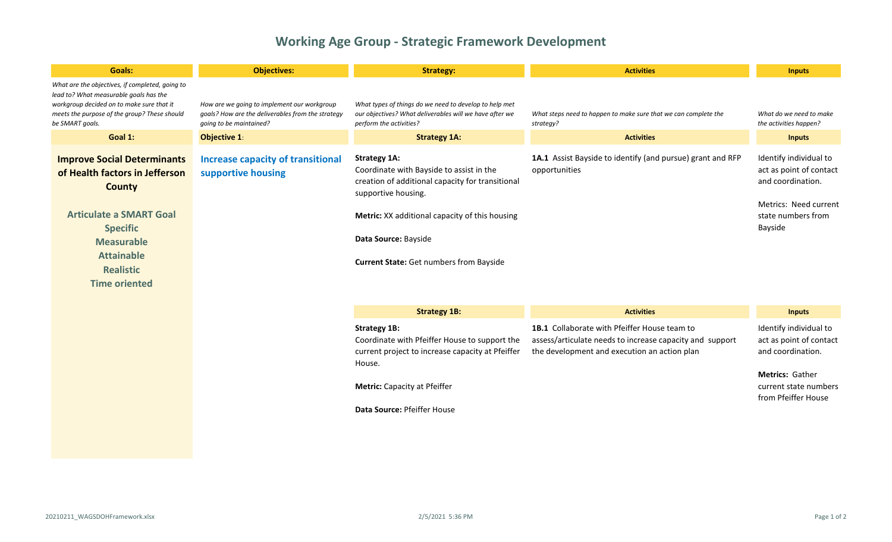## **Working Age Group - Strategic Framework Development**

| <b>Goals:</b>                                                                                                                                                                                                                    | <b>Objectives:</b>                                                                                                          | <b>Strategy:</b>                                                                                                                                                                                                                                                       | <b>Activities</b>                                                                                                                                        | <b>Inputs</b>                                                                                                                                    |
|----------------------------------------------------------------------------------------------------------------------------------------------------------------------------------------------------------------------------------|-----------------------------------------------------------------------------------------------------------------------------|------------------------------------------------------------------------------------------------------------------------------------------------------------------------------------------------------------------------------------------------------------------------|----------------------------------------------------------------------------------------------------------------------------------------------------------|--------------------------------------------------------------------------------------------------------------------------------------------------|
| What are the objectives, if completed, going to<br>lead to? What measurable goals has the<br>workgroup decided on to make sure that it<br>meets the purpose of the group? These should<br>be SMART goals.                        | How are we going to implement our workgroup<br>goals? How are the deliverables from the strategy<br>going to be maintained? | What types of things do we need to develop to help met<br>our objectives? What deliverables will we have after we<br>perform the activities?                                                                                                                           | What steps need to happen to make sure that we can complete the<br>strategy?                                                                             | What do we need to make<br>the activities happen?                                                                                                |
| Goal 1:                                                                                                                                                                                                                          | Objective 1:                                                                                                                | <b>Strategy 1A:</b>                                                                                                                                                                                                                                                    | <b>Activities</b>                                                                                                                                        | <b>Inputs</b>                                                                                                                                    |
| <b>Improve Social Determinants</b><br>of Health factors in Jefferson<br><b>County</b><br><b>Articulate a SMART Goal</b><br><b>Specific</b><br><b>Measurable</b><br><b>Attainable</b><br><b>Realistic</b><br><b>Time oriented</b> | <b>Increase capacity of transitional</b><br>supportive housing                                                              | <b>Strategy 1A:</b><br>Coordinate with Bayside to assist in the<br>creation of additional capacity for transitional<br>supportive housing.<br>Metric: XX additional capacity of this housing<br>Data Source: Bayside<br><b>Current State:</b> Get numbers from Bayside | 1A.1 Assist Bayside to identify (and pursue) grant and RFP<br>opportunities                                                                              | Identify individual to<br>act as point of contact<br>and coordination.<br>Metrics: Need current<br>state numbers from<br>Bayside                 |
|                                                                                                                                                                                                                                  |                                                                                                                             | <b>Strategy 1B:</b>                                                                                                                                                                                                                                                    | <b>Activities</b>                                                                                                                                        | <b>Inputs</b>                                                                                                                                    |
|                                                                                                                                                                                                                                  |                                                                                                                             | <b>Strategy 1B:</b><br>Coordinate with Pfeiffer House to support the<br>current project to increase capacity at Pfeiffer<br>House.<br>Metric: Capacity at Pfeiffer<br>Data Source: Pfeiffer House                                                                      | 1B.1 Collaborate with Pfeiffer House team to<br>assess/articulate needs to increase capacity and support<br>the development and execution an action plan | Identify individual to<br>act as point of contact<br>and coordination.<br><b>Metrics: Gather</b><br>current state numbers<br>from Pfeiffer House |